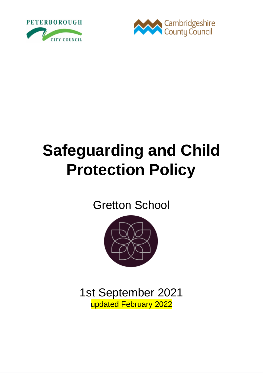



# **Safeguarding and Child Protection Policy**

# Gretton School



1st September 2021 updated February 2022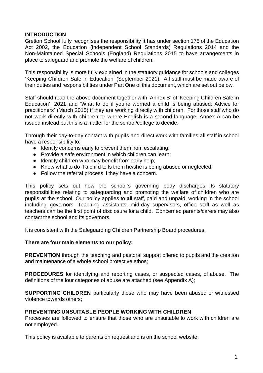#### **INTRODUCTION**

Gretton School fully recognises the responsibility it has under section 175 of the Education Act 2002, the Education (Independent School Standards) Regulations 2014 and the Non-Maintained Special Schools (England) Regulations 2015 to have arrangements in place to safeguard and promote the welfare of children.

This responsibility is more fully explained in the statutory guidance for schools and colleges 'Keeping Children Safe in Education' (September 2021). All staff must be made aware of their duties and responsibilities under Part One of this document, which are set out below.

Staff should read the above document together with 'Annex B' of 'Keeping Children Safe in Education', 2021 and 'What to do if you're worried a child is being abused: Advice for practitioners' (March 2015) if they are working directly with children. For those staff who do not work directly with children or where English is a second language, Annex A can be issued instead but this is a matter for the school/college to decide.

Through their day-to-day contact with pupils and direct work with families all staff in school have a responsibility to:

- Identify concerns early to prevent them from escalating;
- Provide a safe environment in which children can learn;
- Identify children who may benefit from early help;
- Know what to do if a child tells them he/she is being abused or neglected;
- Follow the referral process if they have a concern.

This policy sets out how the school's governing body discharges its statutory responsibilities relating to safeguarding and promoting the welfare of children who are pupils at the school. Our policy applies to **all** staff, paid and unpaid, working in the school including governors. Teaching assistants, mid-day supervisors, office staff as well as teachers can be the first point of disclosure for a child. Concerned parents/carers may also contact the school and its governors.

It is consistent with the Safeguarding Children Partnership Board procedures.

#### **There are four main elements to our policy:**

**PREVENTION** through the teaching and pastoral support offered to pupils and the creation and maintenance of a whole school protective ethos;

**PROCEDURES** for identifying and reporting cases, or suspected cases, of abuse. The definitions of the four categories of abuse are attached (see Appendix A);

**SUPPORTING CHILDREN** particularly those who may have been abused or witnessed violence towards others;

#### **PREVENTING UNSUITABLE PEOPLE WORKING WITH CHILDREN**

Processes are followed to ensure that those who are unsuitable to work with children are not employed.

This policy is available to parents on request and is on the school website.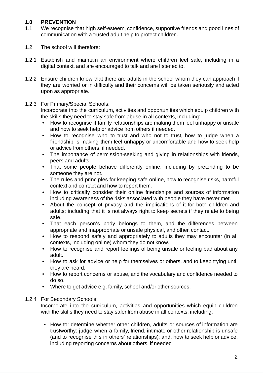#### **1.0 PREVENTION**

- 1.1 We recognise that high self-esteem, confidence, supportive friends and good lines of communication with a trusted adult help to protect children.
- 1.2 The school will therefore:
- 1.2.1 Establish and maintain an environment where children feel safe, including in a digital context, and are encouraged to talk and are listened to.
- 1.2.2 Ensure children know that there are adults in the school whom they can approach if they are worried or in difficulty and their concerns will be taken seriously and acted upon as appropriate.

#### 1.2.3 For Primary/Special Schools: Incorporate into the curriculum, activities and opportunities which equip children with the skills they need to stay safe from abuse in all contexts, including:

- How to recognise if family relationships are making them feel unhappy or unsafe and how to seek help or advice from others if needed.
- How to recognise who to trust and who not to trust, how to judge when a friendship is making them feel unhappy or uncomfortable and how to seek help or advice from others, if needed.
- The importance of permission-seeking and giving in relationships with friends, peers and adults.
- That some people behave differently online, including by pretending to be someone they are not.
- The rules and principles for keeping safe online, how to recognise risks, harmful context and contact and how to report them.
- How to critically consider their online friendships and sources of information including awareness of the risks associated with people they have never met.
- About the concept of privacy and the implications of it for both children and adults; including that it is not always right to keep secrets if they relate to being safe.
- That each person's body belongs to them, and the differences between appropriate and inappropriate or unsafe physical, and other, contact.
- How to respond safely and appropriately to adults they may encounter (in all contexts, including online) whom they do not know.
- How to recognise and report feelings of being unsafe or feeling bad about any adult.
- How to ask for advice or help for themselves or others, and to keep trying until they are heard.
- How to report concerns or abuse, and the vocabulary and confidence needed to do so.
- Where to get advice e.g. family, school and/or other sources.

#### 1.2.4 For Secondary Schools:

Incorporate into the curriculum, activities and opportunities which equip children with the skills they need to stay safer from abuse in all contexts, including:

• How to: determine whether other children, adults or sources of information are trustworthy: judge when a family, friend, intimate or other relationship is unsafe (and to recognise this in others' relationships); and, how to seek help or advice, including reporting concerns about others, if needed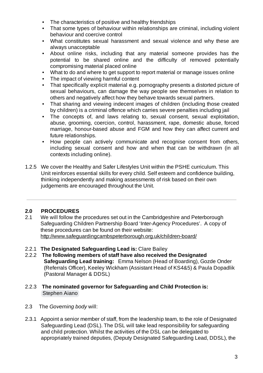- The characteristics of positive and healthy friendships
- That some types of behaviour within relationships are criminal, including violent behaviour and coercive control
- What constitutes sexual harassment and sexual violence and why these are always unacceptable
- About online risks, including that any material someone provides has the potential to be shared online and the difficulty of removed potentially compromising material placed online
- What to do and where to get support to report material or manage issues online
- The impact of viewing harmful content
- That specifically explicit material e.g. pornography presents a distorted picture of sexual behaviours, can damage the way people see themselves in relation to others and negatively affect how they behave towards sexual partners.
- That sharing and viewing indecent images of children (including those created by children) is a criminal offence which carries severe penalties including jail
- The concepts of, and laws relating to, sexual consent, sexual exploitation, abuse, grooming, coercion, control, harassment, rape, domestic abuse, forced marriage, honour-based abuse and FGM and how they can affect current and future relationships.
- How people can actively communicate and recognise consent from others, including sexual consent and how and when that can be withdrawn (in all contexts including online).
- 1.2.5 We cover the Healthy and Safer Lifestyles Unit within the PSHE curriculum. This Unit reinforces essential skills for every child. Self esteem and confidence building, thinking independently and making assessments of risk based on their own judgements are encouraged throughout the Unit.

#### **2.0 PROCEDURES**

- 2.1 We will follow the procedures set out in the Cambridgeshire and Peterborough Safeguarding Children Partnership Board 'Inter-Agency Procedures'. A copy of these procedures can be found on their website: <http://www.safeguardingcambspeterborough.org.uk/children-board/>
- 2.2.1 **The Designated Safeguarding Lead is:** Clare Bailey
- 2.2.2 **The following members of staff have also received the Designated Safeguarding Lead training:** Emma Nelson (Head of Boarding), Gozde Onder (Referrals Officer), Keeley Wickham (Assistant Head of KS4&5) & Paula Dopadlik (Pastoral Manager & DDSL)
- 2.2.3 **The nominated governor for Safeguarding and Child Protection is:** Stephen Aiano
- 2.3 The *Governing body* will:
- 2.3.1 Appoint a senior member of staff, from the leadership team, to the role of Designated Safeguarding Lead (DSL). The DSL will take lead responsibility for safeguarding and child protection. Whilst the activities of the DSL can be delegated to appropriately trained deputies, (Deputy Designated Safeguarding Lead, DDSL), the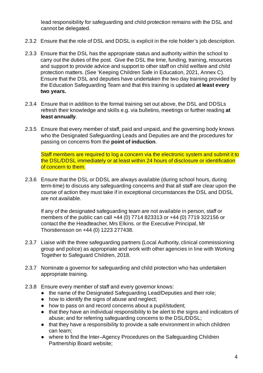lead responsibility for safeguarding and child protection remains with the DSL and cannot be delegated.

- 2.3.2 Ensure that the role of DSL and DDSL is explicit in the role holder's job description.
- 2.3.3 Ensure that the DSL has the appropriate status and authority within the school to carry out the duties of the post. Give the DSL the time, funding, training, resources and support to provide advice and support to other staff on child welfare and child protection matters. (See 'Keeping Children Safe in Education, 2021, Annex C). Ensure that the DSL and deputies have undertaken the two day training provided by the Education Safeguarding Team and that this training is updated **at least every two years.**
- 2.3.4 Ensure that in addition to the formal training set out above, the DSL and DDSLs refresh their knowledge and skills e.g. via bulletins, meetings or further reading **at least annually**.
- 2.3.5 Ensure that every member of staff, paid and unpaid, and the governing body knows who the Designated Safeguarding Leads and Deputies are and the procedures for passing on concerns from the **point of induction**.

Staff members are required to log a concern via the electronic system and submit it to the DSL/DDSL immediately or at least within 24 hours of disclosure or identification of concern to them.

2.3.6 Ensure that the DSL or DDSL are always available (during school hours, during term-time) to discuss any safeguarding concerns and that all staff are clear upon the course of action they must take if in exceptional circumstances the DSL and DDSL are not available.

If any of the designated safeguarding team are not available in person, staff or members of the public can call +44 (0) 7714 823313 or +44 (0) 7719 322156 or contact the the Headteacher, Mrs Elkins. or the Executive Principal, Mr Thorstiensson on +44 (0) 1223 277438.

- 2.3.7 Liaise with the three safeguarding partners (Local Authority, clinical commissioning group and police) as appropriate and work with other agencies in line with Working Together to Safeguard Children, 2018.
- 2.3.7 Nominate a governor for safeguarding and child protection who has undertaken appropriate training.
- 2.3.8 Ensure every member of staff and every governor knows:
	- the name of the Designated Safeguarding Lead/Deputies and their role;
	- how to identify the signs of abuse and neglect;
	- how to pass on and record concerns about a pupil/student;
	- that they have an individual responsibility to be alert to the signs and indicators of abuse; and for referring safeguarding concerns to the DSL/DDSL;
	- that they have a responsibility to provide a safe environment in which children can learn;
	- where to find the Inter–Agency Procedures on the Safeguarding Children Partnership Board website;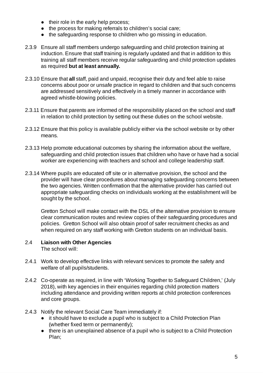- their role in the early help process;
- the process for making referrals to children's social care;
- the safeguarding response to children who go missing in education.
- 2.3.9 Ensure all staff members undergo safeguarding and child protection training at induction. Ensure that staff training is regularly updated and that in addition to this training all staff members receive regular safeguarding and child protection updates as required **but at least annually.**
- 2.3.10 Ensure that **all** staff, paid and unpaid, recognise their duty and feel able to raise concerns about poor or unsafe practice in regard to children and that such concerns are addressed sensitively and effectively in a timely manner in accordance with agreed whistle-blowing policies.
- 2.3.11 Ensure that parents are informed of the responsibility placed on the school and staff in relation to child protection by setting out these duties on the school website.
- 2.3.12 Ensure that this policy is available publicly either via the school website or by other means*.*
- 2.3.13 Help promote educational outcomes by sharing the information about the welfare, safeguarding and child protection issues that children who have or have had a social worker are experiencing with teachers and school and college leadership staff.
- 2.3.14 Where pupils are educated off site or in alternative provision, the school and the provider will have clear procedures about managing safeguarding concerns between the two agencies. Written confirmation that the alternative provider has carried out appropriate safeguarding checks on individuals working at the establishment will be sought by the school.

Gretton School will make contact with the DSL of the alternative provision to ensure clear communication routes and review copies of their safeguarding procedures and policies. Gretton School will also obtain proof of safer recruitment checks as and when required on any staff working with Gretton students on an individual basis.

#### 2.4 **Liaison with Other Agencies** The school will:

- 2.4.1 Work to develop effective links with relevant services to promote the safety and welfare of all pupils/students.
- 2.4.2 Co-operate as required, in line with 'Working Together to Safeguard Children,' (July 2018), with key agencies in their enquiries regarding child protection matters including attendance and providing written reports at child protection conferences and core groups.
- 2.4.3 Notify the relevant Social Care Team immediately if:
	- it should have to exclude a pupil who is subject to a Child Protection Plan (whether fixed term or permanently);
	- there is an unexplained absence of a pupil who is subject to a Child Protection Plan;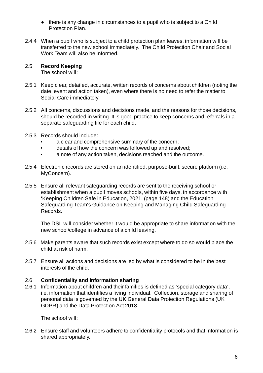- there is any change in circumstances to a pupil who is subject to a Child Protection Plan.
- 2.4.4 When a pupil who is subject to a child protection plan leaves, information will be transferred to the new school immediately. The Child Protection Chair and Social Work Team will also be informed.

#### 2.5 **Record Keeping**

The school will:

- 2.5.1 Keep clear, detailed, accurate, written records of concerns about children (noting the date, event and action taken), even where there is no need to refer the matter to Social Care immediately.
- 2.5.2 All concerns, discussions and decisions made, and the reasons for those decisions, should be recorded in writing. It is good practice to keep concerns and referrals in a separate safeguarding file for each child.
- 2.5.3 Records should include:
	- a clear and comprehensive summary of the concern;
	- details of how the concern was followed up and resolved;
	- a note of any action taken, decisions reached and the outcome.
- 2.5.4 Electronic records are stored on an identified, purpose-built, secure platform (i.e. MyConcern).
- 2.5.5 Ensure all relevant safeguarding records are sent to the receiving school or establishment when a pupil moves schools, within five days, in accordance with 'Keeping Children Safe in Education, 2021, (page 148) and the Education Safeguarding Team's Guidance on Keeping and Managing Child Safeguarding Records.

The DSL will consider whether it would be appropriate to share information with the new school/college in advance of a child leaving.

- 2.5.6 Make parents aware that such records exist except where to do so would place the child at risk of harm.
- 2.5.7 Ensure all actions and decisions are led by what is considered to be in the best interests of the child.

#### 2.6 **Confidentiality and information sharing**

2.6.1 Information about children and their families is defined as 'special category data', i.e. information that identifies a living individual. Collection, storage and sharing of personal data is governed by the UK General Data Protection Regulations (UK GDPR) and the Data Protection Act 2018.

The school will:

2.6.2 Ensure staff and volunteers adhere to confidentiality protocols and that information is shared appropriately.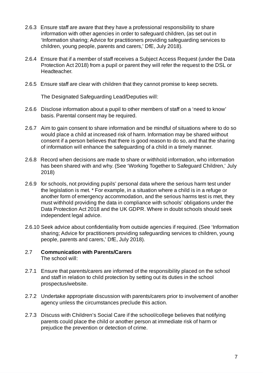- 2.6.3 Ensure staff are aware that they have a professional responsibility to share information with other agencies in order to safeguard children, (as set out in 'Information sharing; Advice for practitioners providing safeguarding services to children, young people, parents and carers,' DfE, July 2018).
- 2.6.4 Ensure that if a member of staff receives a Subject Access Request (under the Data Protection Act 2018) from a pupil or parent they will refer the request to the DSL or Headteacher.
- 2.6.5 Ensure staff are clear with children that they cannot promise to keep secrets.

The Designated Safeguarding Lead/Deputies will:

- 2.6.6 Disclose information about a pupil to other members of staff on a 'need to know' basis. Parental consent may be required.
- 2.6.7 Aim to gain consent to share information and be mindful of situations where to do so would place a child at increased risk of harm. Information may be shared without consent if a person believes that there is good reason to do so, and that the sharing of information will enhance the safeguarding of a child in a timely manner.
- 2.6.8 Record when decisions are made to share or withhold information, who information has been shared with and why. (See 'Working Together to Safeguard Children,' July 2018)
- 2.6.9 for schools, not providing pupils' personal data where the serious harm test under the legislation is met. \* For example, in a situation where a child is in a refuge or another form of emergency accommodation, and the serious harms test is met, they must withhold providing the data in compliance with schools' obligations under the Data Protection Act 2018 and the UK GDPR. Where in doubt schools should seek independent legal advice.
- 2.6.10 Seek advice about confidentiality from outside agencies if required. (See 'Information sharing; Advice for practitioners providing safeguarding services to children, young people, parents and carers,' DfE, July 2018).
- 2.7 **Communication with Parents/Carers** The school will:
- 2.7.1 Ensure that parents/carers are informed of the responsibility placed on the school and staff in relation to child protection by setting out its duties in the school prospectus/website.
- 2.7.2 Undertake appropriate discussion with parents/carers prior to involvement of another agency unless the circumstances preclude this action.
- 2.7.3 Discuss with Children's Social Care if the school/college believes that notifying parents could place the child or another person at immediate risk of harm or prejudice the prevention or detection of crime.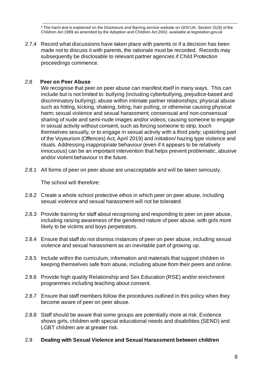\* The harm test is explained on the Disclosure and Barring service website on GOV.UK. Section 31(9) of the Children Act 1989 as amended by the Adoption and Children Act 2002, available at legislation.gov.uk

2.7.4 Record what discussions have taken place with parents or if a decision has been made not to discuss it with parents, the rationale must be recorded. Records may subsequently be disclosable to relevant partner agencies if Child Protection proceedings commence.

#### 2.8 **Peer on Peer Abuse**

We recognise that peer on peer abuse can manifest itself in many ways. This can include but is not limited to: bullying (including cyberbullying, prejudice-based and discriminatory bullying); abuse within intimate partner relationships; physical abuse such as hitting, kicking, shaking, biting, hair pulling, or otherwise causing physical harm; sexual violence and sexual harassment; consensual and non-consensual sharing of nude and semi-nude images and/or videos; causing someone to engage in sexual activity without consent, such as forcing someone to strip, touch themselves sexually, or to engage in sexual activity with a third party; upskirting part of the Voyeurism (Offences) Act, April 2019) and initiation/ hazing type violence and rituals. Addressing inappropriate behaviour (even if it appears to be relatively innocuous) can be an important intervention that helps prevent problematic, abusive and/or violent behaviour in the future.

2.8.1 All forms of peer on peer abuse are unacceptable and will be taken seriously.

The school will therefore:

- 2.8.2 Create a whole school protective ethos in which peer on peer abuse, including sexual violence and sexual harassment will not be tolerated.
- 2.8.3 Provide training for staff about recognising and responding to peer on peer abuse, including raising awareness of the gendered nature of peer abuse, with girls more likely to be victims and boys perpetrators.
- 2.8.4 Ensure that staff do not dismiss instances of peer on peer abuse, including sexual violence and sexual harassment as an inevitable part of growing up.
- 2.8.5 Include within the curriculum, information and materials that support children in keeping themselves safe from abuse, including abuse from their peers and online.
- 2.8.6 Provide high quality Relationship and Sex Education (RSE) and/or enrichment programmes including teaching about consent.
- 2.8.7 Ensure that staff members follow the procedures outlined in this policy when they become aware of peer on peer abuse.
- 2.8.8 Staff should be aware that some groups are potentially more at risk. Evidence shows girls, children with special educational needs and disabilities (SEND) and LGBT children are at greater risk.
- 2.9 **Dealing with Sexual Violence and Sexual Harassment between children**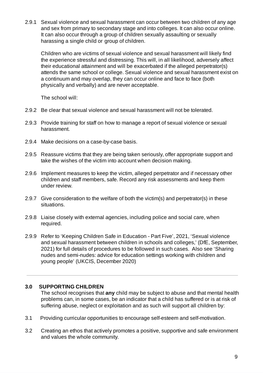2.9.1 Sexual violence and sexual harassment can occur between two children of any age and sex from primary to secondary stage and into colleges. It can also occur online. It can also occur through a group of children sexually assaulting or sexually harassing a single child or group of children.

Children who are victims of sexual violence and sexual harassment will likely find the experience stressful and distressing. This will, in all likelihood, adversely affect their educational attainment and will be exacerbated if the alleged perpetrator(s) attends the same school or college. Sexual violence and sexual harassment exist on a continuum and may overlap, they can occur online and face to face (both physically and verbally) and are never acceptable.

The school will:

- 2.9.2 Be clear that sexual violence and sexual harassment will not be tolerated.
- 2.9.3 Provide training for staff on how to manage a report of sexual violence or sexual harassment.
- 2.9.4 Make decisions on a case-by-case basis.
- 2.9.5 Reassure victims that they are being taken seriously, offer appropriate support and take the wishes of the victim into account when decision making.
- 2.9.6 Implement measures to keep the victim, alleged perpetrator and if necessary other children and staff members, safe. Record any risk assessments and keep them under review.
- 2.9.7 Give consideration to the welfare of both the victim(s) and perpetrator(s) in these situations.
- 2.9.8 Liaise closely with external agencies, including police and social care, when required.
- 2.9.9 Refer to 'Keeping Children Safe in Education Part Five', 2021, 'Sexual violence and sexual harassment between children in schools and colleges,' (DfE, September, 2021) for full details of procedures to be followed in such cases. Also see 'Sharing nudes and semi-nudes: advice for education settings working with children and young people' (UKCIS, December 2020)

#### **3.0 SUPPORTING CHILDREN**

The school recognises that **any** child may be subject to abuse and that mental health problems can, in some cases, be an indicator that a child has suffered or is at risk of suffering abuse, neglect or exploitation and as such will support all children by:

- 3.1 Providing curricular opportunities to encourage self-esteem and self-motivation.
- 3.2 Creating an ethos that actively promotes a positive, supportive and safe environment and values the whole community.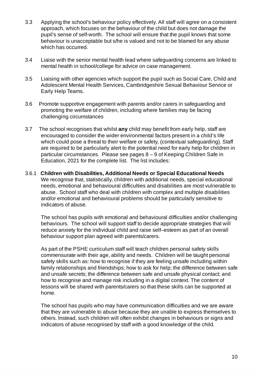- 3.3 Applying the school's behaviour policy effectively. All staff will agree on a consistent approach, which focuses on the behaviour of the child but does not damage the pupil's sense of self-worth. The school will ensure that the pupil knows that some behaviour is unacceptable but s/he is valued and not to be blamed for any abuse which has occurred.
- 3.4 Liaise with the senior mental health lead where safeguarding concerns are linked to mental health in school/college for advice on case management.
- 3.5 Liaising with other agencies which support the pupil such as Social Care, Child and Adolescent Mental Health Services, Cambridgeshire Sexual Behaviour Service or Early Help Teams.
- 3.6 Promote supportive engagement with parents and/or carers in safeguarding and promoting the welfare of children, including where families may be facing challenging circumstances
- 3.7 The school recognises that whilst **any** child may benefit from early help, staff are encouraged to consider the wider environmental factors present in a child's life which could pose a threat to their welfare or safety, (contextual safeguarding). Staff are required to be particularly alert to the potential need for early help for children in particular circumstances. Please see pages 8 – 9 of Keeping Children Safe in Education, 2021 for the complete list. The list includes:
- 3.6.1 **Children with Disabilities, Additional Needs or Special Educational Needs** We recognise that, statistically, children with additional needs, special educational needs, emotional and behavioural difficulties and disabilities are most vulnerable to abuse. School staff who deal with children with complex and multiple disabilities and/or emotional and behavioural problems should be particularly sensitive to indicators of abuse*.*

The school has pupils with emotional and behavioural difficulties and/or challenging behaviours. The school will support staff to decide appropriate strategies that will reduce anxiety for the individual child and raise self–esteem as part of an overall behaviour support plan agreed with parents/carers.

As part of the PSHE curriculum staff will teach children personal safety skills commensurate with their age, ability and needs. Children will be taught personal safety skills such as: how to recognise if they are feeling unsafe including within family relationships and friendships; how to ask for help; the difference between safe and unsafe secrets; the difference between safe and unsafe physical contact; and how to recognise and manage risk including in a digital context. The content of lessons will be shared with parents/carers so that these skills can be supported at home.

The school has pupils who may have communication difficulties and we are aware that they are vulnerable to abuse because they are unable to express themselves to others. Instead, such children will often exhibit changes in behaviours or signs and indicators of abuse recognised by staff with a good knowledge of the child.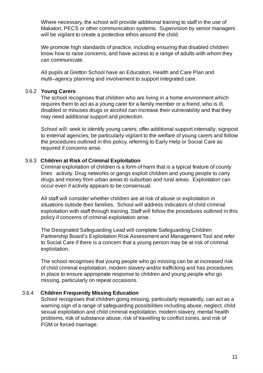Where necessary, the school will provide additional training to staff in the use of Makaton, PECS or other communication systems. Supervision by senior managers will be vigilant to create a protective ethos around the child.

We promote high standards of practice, including ensuring that disabled children know how to raise concerns, and have access to a range of adults with whom they can communicate.

All pupils at Gretton School have an Education, Health and Care Plan and multi–agency planning and involvement to support integrated care.

#### 3.6.2 **Young Carers**

The school recognises that children who are living in a home environment which requires them to act as a young carer for a family member or a friend, who is ill, disabled or misuses drugs or alcohol can increase their vulnerability and that they may need additional support and protection.

School will: seek to identify young carers; offer additional support internally; signpost to external agencies; be particularly vigilant to the welfare of young carers and follow the procedures outlined in this policy, referring to Early Help or Social Care as required if concerns arise.

#### 3.6.3 **Children at Risk of Criminal Exploitation**

Criminal exploitation of children is a form of harm that is a typical feature of county lines activity. Drug networks or gangs exploit children and young people to carry drugs and money from urban areas to suburban and rural areas. Exploitation can occur even if activity appears to be consensual.

All staff will consider whether children are at risk of abuse or exploitation in situations outside their families. School will address indicators of child criminal exploitation with staff through training. Staff will follow the procedures outlined in this policy if concerns of criminal exploitation arise.

The Designated Safeguarding Lead will complete Safeguarding Children Partnership Board's Exploitation Risk Assessment and [Management](http://www.safeguardingcambspeterborough.org.uk/wp-content/uploads/2018/05/Exploitation-CSECCE-Risk-Assessment-Tool.docx) Tool and refer to Social Care if there is a concern that a young person may be at risk of criminal exploitation.

The school recognises that young people who go missing can be at increased risk of child criminal exploitation, modern slavery and/or trafficking and has procedures in place to ensure appropriate response to children and young people who go missing, particularly on repeat occasions.

#### 3.6.4 **Children Frequently Missing Education**

School recognises that children going missing, particularly repeatedly, can act as a warning sign of a range of safeguarding possibilities including abuse, neglect, child sexual exploitation and child criminal exploitation, modern slavery, mental health problems, risk of substance abuse, risk of travelling to conflict zones, and risk of FGM or forced marriage.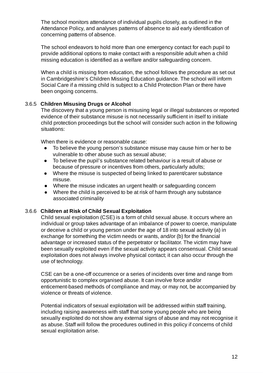The school monitors attendance of individual pupils closely, as outlined in the Attendance Policy, and analyses patterns of absence to aid early identification of concerning patterns of absence.

The school endeavors to hold more than one emergency contact for each pupil to provide additional options to make contact with a responsible adult when a child missing education is identified as a welfare and/or safeguarding concern.

When a child is missing from education, the school follows the procedure as set out in Cambridgeshire's Children Missing Education guidance. The school will inform Social Care if a missing child is subject to a Child Protection Plan or there have been ongoing concerns.

#### 3.6.5 **Children Misusing Drugs or Alcohol**

The discovery that a young person is misusing legal or illegal substances or reported evidence of their substance misuse is not necessarily sufficient in itself to initiate child protection proceedings but the school will consider such action in the following situations:

When there is evidence or reasonable cause:

- To believe the young person's substance misuse may cause him or her to be vulnerable to other abuse such as sexual abuse;
- To believe the pupil's substance related behaviour is a result of abuse or because of pressure or incentives from others, particularly adults;
- Where the misuse is suspected of being linked to parent/carer substance misuse.
- Where the misuse indicates an urgent health or safeguarding concern
- Where the child is perceived to be at risk of harm through any substance associated criminality

#### 3.6.6 **Children at Risk of Child Sexual Exploitation**

Child sexual exploitation (CSE) is a form of child sexual abuse. It occurs where an individual or group takes advantage of an imbalance of power to coerce, manipulate or deceive a child or young person under the age of 18 into sexual activity (a) in exchange for something the victim needs or wants, and/or (b) for the financial advantage or increased status of the perpetrator or facilitator. The victim may have been sexually exploited even if the sexual activity appears consensual. Child sexual exploitation does not always involve physical contact; it can also occur through the use of technology.

CSE can be a one-off occurrence or a series of incidents over time and range from opportunistic to complex organised abuse. It can involve force and/or enticement-based methods of compliance and may, or may not, be accompanied by violence or threats of violence.

Potential indicators of sexual exploitation will be addressed within staff training, including raising awareness with staff that some young people who are being sexually exploited do not show any external signs of abuse and may not recognise it as abuse. Staff will follow the procedures outlined in this policy if concerns of child sexual exploitation arise.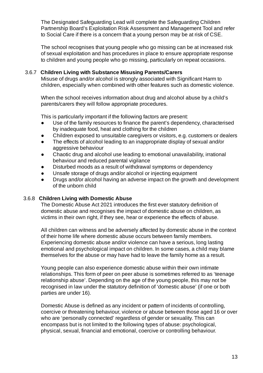The Designated Safeguarding Lead will complete the Safeguarding Children Partnership Board's Exploitation Risk Assessment and [Management](http://www.safeguardingcambspeterborough.org.uk/wp-content/uploads/2018/05/Exploitation-CSECCE-Risk-Assessment-Tool.docx) Tool and refer to Social Care if there is a concern that a young person may be at risk of CSE.

The school recognises that young people who go missing can be at increased risk of sexual exploitation and has procedures in place to ensure appropriate response to children and young people who go missing, particularly on repeat occasions.

#### 3.6.7 **Children Living with Substance Misusing Parents/Carers**

Misuse of drugs and/or alcohol is strongly associated with Significant Harm to children, especially when combined with other features such as domestic violence.

When the school receives information about drug and alcohol abuse by a child's parents/carers they will follow appropriate procedures.

This is particularly important if the following factors are present:

- Use of the family resources to finance the parent's dependency, characterised by inadequate food, heat and clothing for the children
- Children exposed to unsuitable caregivers or visitors, e.g. customers or dealers
- The effects of alcohol leading to an inappropriate display of sexual and/or aggressive behaviour
- Chaotic drug and alcohol use leading to emotional unavailability, irrational behaviour and reduced parental vigilance
- Disturbed moods as a result of withdrawal symptoms or dependency
- Unsafe storage of drugs and/or alcohol or injecting equipment
- Drugs and/or alcohol having an adverse impact on the growth and development of the unborn child

#### 3.6.8 **Children Living with Domestic Abuse**

The Domestic Abuse Act 2021 introduces the first ever statutory definition of domestic abuse and recognises the impact of domestic abuse on children, as victims in their own right, if they see, hear or experience the effects of abuse.

All children can witness and be adversely affected by domestic abuse in the context of their home life where domestic abuse occurs between family members. Experiencing domestic abuse and/or violence can have a serious, long lasting emotional and psychological impact on children. In some cases, a child may blame themselves for the abuse or may have had to leave the family home as a result.

Young people can also experience domestic abuse within their own intimate relationships. This form of peer on peer abuse is sometimes referred to as 'teenage relationship abuse'. Depending on the age of the young people, this may not be recognised in law under the statutory definition of 'domestic abuse' (if one or both parties are under 16).

Domestic Abuse is defined as any incident or pattern of incidents of controlling, coercive or threatening behaviour, violence or abuse between those aged 16 or over who are 'personally connected' regardless of gender or sexuality. This can encompass but is not limited to the following types of abuse: psychological, physical, sexual, financial and emotional, coercive or controlling behaviour.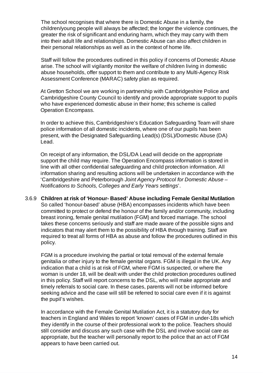The school recognises that where there is Domestic Abuse in a family, the children/young people will always be affected; the longer the violence continues, the greater the risk of significant and enduring harm, which they may carry with them into their adult life and relationships. Domestic Abuse can also affect children in their personal relationships as well as in the context of home life.

Staff will follow the procedures outlined in this policy if concerns of Domestic Abuse arise. The school will vigilantly monitor the welfare of children living in domestic abuse households, offer support to them and contribute to any Multi-Agency Risk Assessment Conference (MARAC) safety plan as required.

At Gretton School we are working in partnership with Cambridgeshire Police and Cambridgeshire County Council to identify and provide appropriate support to pupils who have experienced domestic abuse in their home; this scheme is called Operation Encompass.

In order to achieve this, Cambridgeshire's Education Safeguarding Team will share police information of all domestic incidents, where one of our pupils has been present, with the Designated Safeguarding Lead(s) (DSL)/Domestic Abuse (DA) Lead.

On receipt of any information, the DSL/DA Lead will decide on the appropriate support the child may require. The Operation Encompass information is stored in line with all other confidential safeguarding and child protection information. All information sharing and resulting actions will be undertaken in accordance with the 'Cambridgeshire and Peterborough *Joint Agency Protocol for Domestic Abuse – Notifications to Schools, Colleges and Early Years settings*'.

#### 3.6.9 **Children at risk of 'Honour- Based' Abuse including Female Genital Mutilation** So called 'honour-based' abuse (HBA) encompasses incidents which have been committed to protect or defend the honour of the family and/or community, including breast ironing, female genital mutilation (FGM) and forced marriage. The school takes these concerns seriously and staff are made aware of the possible signs and indicators that may alert them to the possibility of HBA through training. Staff are required to treat all forms of HBA as abuse and follow the procedures outlined in this policy.

FGM is a procedure involving the partial or total removal of the external female genitalia or other injury to the female genital organs. FGM is illegal in the UK. Any indication that a child is at risk of FGM, where FGM is suspected, or where the woman is under 18, will be dealt with under the child protection procedures outlined in this policy. Staff will report concerns to the DSL, who will make appropriate and timely referrals to social care. In these cases, parents will not be informed before seeking advice and the case will still be referred to social care even if it is against the pupil's wishes.

In accordance with the Female Genital Mutilation Act, it is a statutory duty for teachers in England and Wales to report 'known' cases of FGM in under-18s which they identify in the course of their professional work to the police. Teachers should still consider and discuss any such case with the DSL and involve social care as appropriate, but the teacher will personally report to the police that an act of FGM appears to have been carried out.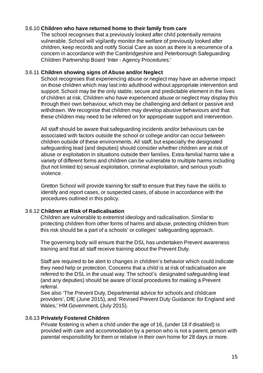#### 3.6.10 **Children who have returned home to their family from care**

The school recognises that a previously looked after child potentially remains vulnerable. School will vigilantly monitor the welfare of previously looked after children, keep records and notify Social Care as soon as there is a recurrence of a concern in accordance with the Cambridgeshire and Peterborough Safeguarding Children Partnership Board 'Inter - Agency Procedures.'

#### 3.6.11 **Children showing signs of Abuse and/or Neglect**

School recognises that experiencing abuse or neglect may have an adverse impact on those children which may last into adulthood without appropriate intervention and support. School may be the only stable, secure and predictable element in the lives of children at risk. Children who have experienced abuse or neglect may display this through their own behaviour, which may be challenging and defiant or passive and withdrawn. We recognise that children may develop abusive behaviours and that these children may need to be referred on for appropriate support and intervention.

All staff should be aware that safeguarding incidents and/or behaviours can be associated with factors outside the school or college and/or can occur between children outside of these environments. All staff, but especially the designated safeguarding lead (and deputies) should consider whether children are at risk of abuse or exploitation in situations outside their families. Extra-familial harms take a variety of different forms and children can be vulnerable to multiple harms including (but not limited to) sexual exploitation, criminal exploitation, and serious youth violence.

Gretton School will provide training for staff to ensure that they have the skills to identify and report cases, or suspected cases, of abuse in accordance with the procedures outlined in this policy.

#### 3.6.12 **Children at Risk of Radicalisation**

Children are vulnerable to extremist ideology and radicalisation. Similar to protecting children from other forms of harms and abuse, protecting children from this risk should be a part of a schools' or colleges' safeguarding approach.

The governing body will ensure that the DSL has undertaken Prevent awareness training and that all staff receive training about the Prevent Duty.

Staff are required to be alert to changes in children's behavior which could indicate they need help or protection. Concerns that a child is at risk of radicalisation are referred to the DSL in the usual way. The school's designated safeguarding lead (and any deputies) should be aware of local procedures for making a Prevent referral.

See also 'The Prevent Duty, Departmental advice for schools and childcare providers', DfE (June 2015), and 'Revised Prevent Duty Guidance: for England and Wales,' HM Government, (July 2015).

#### 3.6.13 **Privately Fostered Children**

Private fostering is when a child under the age of 16, (under 18 if disabled) is provided with care and accommodation by a person who is not a parent, person with parental responsibility for them or relative in their own home for 28 days or more.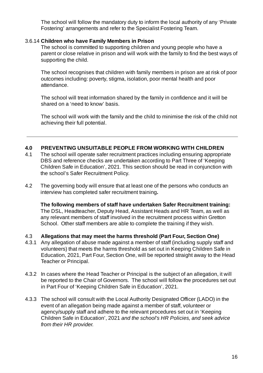The school will follow the mandatory duty to inform the local authority of any 'Private Fostering' arrangements and refer to the Specialist Fostering Team.

#### 3.6.14 **Children who have Family Members in Prison**

The school is committed to supporting children and young people who have a parent or close relative in prison and will work with the family to find the best ways of supporting the child.

The school recognises that children with family members in prison are at risk of poor outcomes including: poverty, stigma, isolation, poor mental health and poor attendance.

The school will treat information shared by the family in confidence and it will be shared on a 'need to know' basis.

The school will work with the family and the child to minimise the risk of the child not achieving their full potential.

#### **4.0 PREVENTING UNSUITABLE PEOPLE FROM WORKING WITH CHILDREN**

- 4.1 The school will operate safer recruitment practices including ensuring appropriate DBS and reference checks are undertaken according to Part Three of 'Keeping Children Safe in Education', 2021. This section should be read in conjunction with the school's Safer Recruitment Policy.
- 4.2 The governing body will ensure that at least one of the persons who conducts an interview has completed safer recruitment training**.**

**The following members of staff have undertaken Safer Recruitment training:** The DSL, Headteacher, Deputy Head, Assistant Heads and HR Team, as well as any relevant members of staff involved in the recruitment process within Gretton School. Other staff members are able to complete the training if they wish.

- 4.3 **Allegations that may meet the harms threshold (Part Four, Section One)**
- 4.3.1 Any allegation of abuse made against a member of staff (including supply staff and volunteers) that meets the harms threshold as set out in Keeping Children Safe in Education, 2021, Part Four, Section One, will be reported straight away to the Head Teacher or Principal.
- 4.3.2 In cases where the Head Teacher or Principal is the subject of an allegation, it will be reported to the Chair of Governors. The school will follow the procedures set out in Part Four of 'Keeping Children Safe in Education', 2021.
- 4.3.3 The school will consult with the Local Authority Designated Officer (LADO) in the event of an allegation being made against a member of staff, volunteer or agency/supply staff and adhere to the relevant procedures set out in 'Keeping Children Safe in Education', 2021 *and the school's HR Policies, and seek advice from their HR provider.*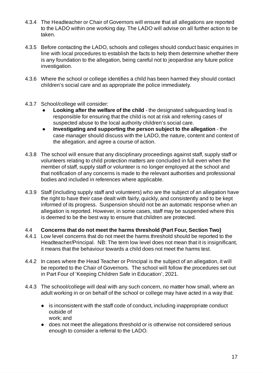- 4.3.4 The Headteacher or Chair of Governors will ensure that all allegations are reported to the LADO within one working day. The LADO will advise on all further action to be taken.
- 4.3.5 Before contacting the LADO, schools and colleges should conduct basic enquiries in line with local procedures to establish the facts to help them determine whether there is any foundation to the allegation, being careful not to jeopardise any future police investigation.
- 4.3.6 Where the school or college identifies a child has been harmed they should contact children's social care and as appropriate the police immediately.
- 4.3.7 School/college will consider:
	- **Looking after the welfare of the child** the designated safeguarding lead is responsible for ensuring that the child is not at risk and referring cases of suspected abuse to the local authority children's social care.
	- **Investigating and supporting the person subject to the allegation** the case manager should discuss with the LADO, the nature, content and context of the allegation, and agree a course of action.
- 4.3.8 The school will ensure that any disciplinary proceedings against staff, supply staff or volunteers relating to child protection matters are concluded in full even when the member of staff, supply staff or volunteer is no longer employed at the school and that notification of any concerns is made to the relevant authorities and professional bodies and included in references where applicable.
- 4.3.9 Staff (including supply staff and volunteers) who are the subject of an allegation have the right to have their case dealt with fairly, quickly, and consistently and to be kept informed of its progress. Suspension should not be an automatic response when an allegation is reported. However, in some cases, staff may be suspended where this is deemed to be the best way to ensure that children are protected.

#### 4.4 **Concerns that do not meet the harms threshold (Part Four, Section Two)**

- 4.4.1 Low level concerns that do not meet the harms threshold should be reported to the Headteacher/Principal. NB: The term low level does not mean that it is insignificant, it means that the behaviour towards a child does not meet the harms test.
- 4.4.2 In cases where the Head Teacher or Principal is the subject of an allegation, it will be reported to the Chair of Governors. The school will follow the procedures set out in Part Four of 'Keeping Children Safe in Education', 2021.
- 4.4.3 The school/college will deal with any such concern, no matter how small, where an adult working in or on behalf of the school or college may have acted in a way that:
	- is inconsistent with the staff code of conduct, including inappropriate conduct outside of work; and
	- does not meet the allegations threshold or is otherwise not considered serious enough to consider a referral to the LADO.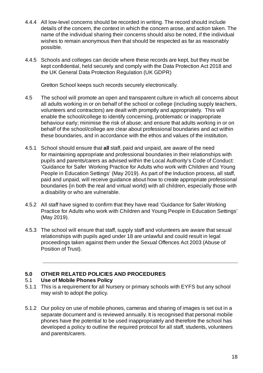- 4.4.4 All low-level concerns should be recorded in writing. The record should include details of the concern, the context in which the concern arose, and action taken. The name of the individual sharing their concerns should also be noted, if the individual wishes to remain anonymous then that should be respected as far as reasonably possible.
- 4.4.5 Schools and colleges can decide where these records are kept, but they must be kept confidential, held securely and comply with the Data Protection Act 2018 and the UK General Data Protection Regulation (UK GDPR)

Gretton School keeps such records securely electronically.

- 4.5 The school will promote an open and transparent culture in which all concerns about all adults working in or on behalf of the school or college (including supply teachers, volunteers and contractors) are dealt with promptly and appropriately. This will enable the school/college to identify concerning, problematic or inappropriate behaviour early; minimise the risk of abuse; and ensure that adults working in or on behalf of the school/college are clear about professional boundaries and act within these boundaries, and in accordance with the ethos and values of the institution.
- 4.5.1 School should ensure that **all** staff, paid and unpaid, are aware of the need for maintaining appropriate and professional boundaries in their relationships with pupils and parents/carers as advised within the Local Authority's Code of Conduct: 'Guidance for Safer Working Practice for Adults who work with Children and Young People in Education Settings' (May 2019). As part of the Induction process, all staff, paid and unpaid, will receive guidance about how to create appropriate professional boundaries (in both the real and virtual world) with all children, especially those with a disability or who are vulnerable.
- 4.5.2 All staff have signed to confirm that they have read 'Guidance for Safer Working Practice for Adults who work with Children and Young People in Education Settings' (May 2019).
- 4.5.3 The school will ensure that staff, supply staff and volunteers are aware that sexual relationships with pupils aged under 18 are unlawful and could result in legal proceedings taken against them under the Sexual Offences Act 2003 (Abuse of Position of Trust).

#### **5.0 OTHER RELATED POLICIES AND PROCEDURES**

#### 5.1 **Use of Mobile Phones Policy**

- 5.1.1 This is a requirement for all Nursery or primary schools with EYFS but any school may wish to adopt the policy.
- 5.1.2 Our policy on use of mobile phones, cameras and sharing of images is set out in a separate document and is reviewed annually. It is recognised that personal mobile phones have the potential to be used inappropriately and therefore the school has developed a policy to outline the required protocol for all staff, students, volunteers and parents/carers.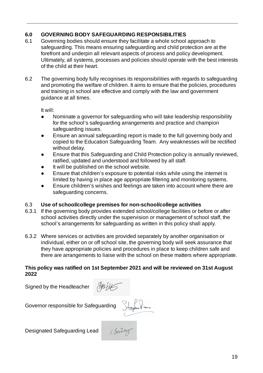#### **6.0 GOVERNING BODY SAFEGUARDING RESPONSIBILITIES**

- 6.1 Governing bodies should ensure they facilitate a whole school approach to safeguarding. This means ensuring safeguarding and child protection are at the forefront and underpin all relevant aspects of process and policy development. Ultimately, all systems, processes and policies should operate with the best interests of the child at their heart.
- 6.2 The governing body fully recognises its responsibilities with regards to safeguarding and promoting the welfare of children. It aims to ensure that the policies, procedures and training in school are effective and comply with the law and government guidance at all times.

It will:

- Nominate a governor for safeguarding who will take leadership responsibility for the school's safeguarding arrangements and practice and champion safeguarding issues.
- Ensure an annual safeguarding report is made to the full governing body and copied to the Education Safeguarding Team. Any weaknesses will be rectified without delay.
- Ensure that this Safeguarding and Child Protection policy is annually reviewed, ratified, updated and understood and followed by all staff.
- It will be published on the school website.
- Ensure that children's exposure to potential risks while using the internet is limited by having in place age appropriate filtering and monitoring systems.
- Ensure children's wishes and feelings are taken into account where there are safeguarding concerns.

#### 6.3 **Use of school/college premises for non-school/college activities**

- 6.3.1 If the governing body provides extended school/college facilities or before or after school activities directly under the supervision or management of school staff, the school's arrangements for safeguarding as written in this policy shall apply.
- 6.3.2 Where services or activities are provided separately by another organisation or individual, either on or off school site, the governing body will seek assurance that they have appropriate policies and procedures in place to keep children safe and there are arrangements to liaise with the school on these matters where appropriate.

#### **This policy was ratified on 1st September 2021 and will be reviewed on 31st August 2022**

Signed by the Headteacher



Governor responsible for Safeguarding Stephen Views

Designated Safeguarding Lead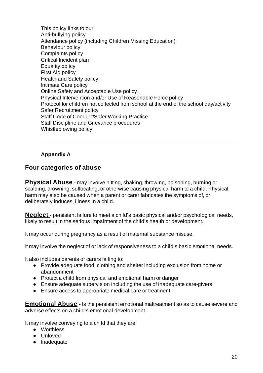This policy links to our: Anti-bullying policy Attendance policy (including Children Missing Education) Behaviour policy Complaints policy Critical Incident plan Equality policy First Aid policy Health and Safety policy Intimate Care policy Online Safety and Acceptable Use policy Physical Intervention and/or Use of Reasonable Force policy Protocol for children not collected from school at the end of the school day/activity Safer Recruitment policy Staff Code of Conduct/Safer Working Practice Staff Discipline and Grievance procedures Whistleblowing policy

#### **Appendix A**

#### **Four categories of abuse**

**Physical Abuse** - may involve hitting, shaking, throwing, poisoning, burning or scalding, drowning, suffocating, or otherwise causing physical harm to a child. Physical harm may also be caused when a parent or carer fabricates the symptoms of, or deliberately induces, illness in a child.

**Neglect** - persistent failure to meet a child's basic physical and/or psychological needs, likely to result in the serious impairment of the child's health or development.

It may occur during pregnancy as a result of maternal substance misuse.

It may involve the neglect of or lack of responsiveness to a child's basic emotional needs.

It also includes parents or carers failing to:

- Provide adequate food, clothing and shelter including exclusion from home or abandonment
- Protect a child from physical and emotional harm or danger
- Ensure adequate supervision including the use of inadequate care-givers
- Ensure access to appropriate medical care or treatment

**Emotional Abuse** - Is the persistent emotional maltreatment so as to cause severe and adverse effects on a child's emotional development.

It may involve conveying to a child that they are:

- Worthless
- Unloved
- Inadequate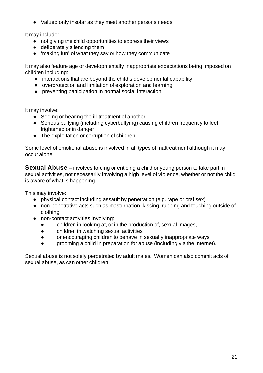● Valued only insofar as they meet another persons needs

It may include:

- not giving the child opportunities to express their views
- deliberately silencing them
- 'making fun' of what they say or how they communicate

It may also feature age or developmentally inappropriate expectations being imposed on children including:

- interactions that are beyond the child's developmental capability
- overprotection and limitation of exploration and learning
- preventing participation in normal social interaction.

It may involve:

- Seeing or hearing the ill-treatment of another
- Serious bullying (including cyberbullying) causing children frequently to feel frightened or in danger
- The exploitation or corruption of children

Some level of emotional abuse is involved in all types of maltreatment although it may occur alone

**Sexual Abuse** – involves forcing or enticing a child or young person to take part in sexual activities, not necessarily involving a high level of violence, whether or not the child is aware of what is happening.

This may involve:

- physical contact including assault by penetration (e.g. rape or oral sex)
- non-penetrative acts such as masturbation, kissing, rubbing and touching outside of clothing
- non-contact activities involving:
	- children in looking at, or in the production of, sexual images,
	- children in watching sexual activities
	- or encouraging children to behave in sexually inappropriate ways
	- grooming a child in preparation for abuse (including via the internet).

Sexual abuse is not solely perpetrated by adult males. Women can also commit acts of sexual abuse, as can other children.